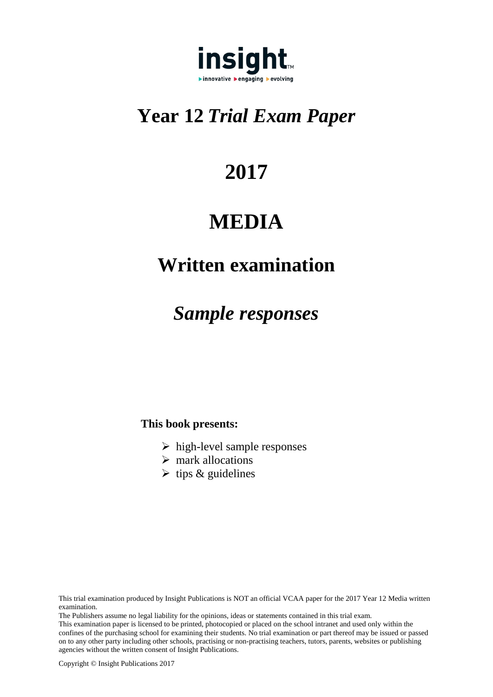

# **Year 12** *Trial Exam Paper*

# **2017**

# **MEDIA**

# **Written examination**

# *Sample responses*

# **This book presents:**

- $\triangleright$  high-level sample responses
- $\triangleright$  mark allocations
- $\triangleright$  tips & guidelines

The Publishers assume no legal liability for the opinions, ideas or statements contained in this trial exam. This examination paper is licensed to be printed, photocopied or placed on the school intranet and used only within the confines of the purchasing school for examining their students. No trial examination or part thereof may be issued or passed on to any other party including other schools, practising or non-practising teachers, tutors, parents, websites or publishing agencies without the written consent of Insight Publications.

This trial examination produced by Insight Publications is NOT an official VCAA paper for the 2017 Year 12 Media written examination.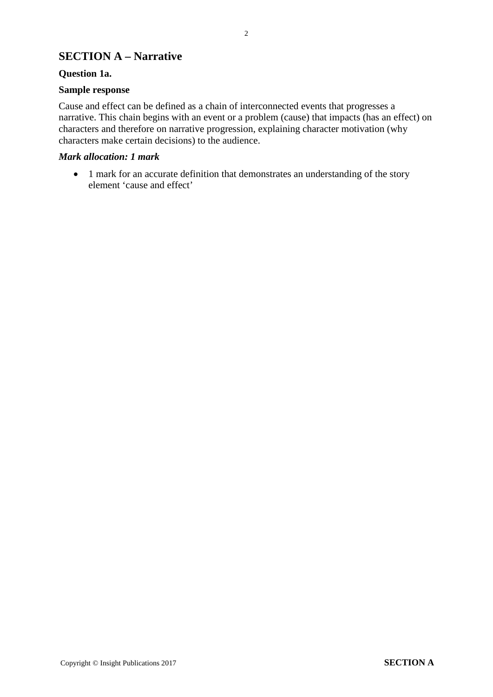# **SECTION A – Narrative**

# **Question 1a.**

# **Sample response**

Cause and effect can be defined as a chain of interconnected events that progresses a narrative. This chain begins with an event or a problem (cause) that impacts (has an effect) on characters and therefore on narrative progression, explaining character motivation (why characters make certain decisions) to the audience.

# *Mark allocation: 1 mark*

• 1 mark for an accurate definition that demonstrates an understanding of the story element 'cause and effect'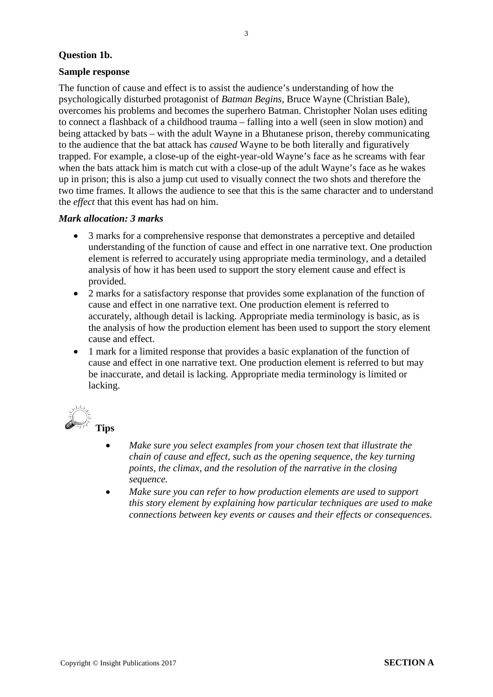# **Question 1b.**

# **Sample response**

The function of cause and effect is to assist the audience's understanding of how the psychologically disturbed protagonist of *Batman Begins*, Bruce Wayne (Christian Bale), overcomes his problems and becomes the superhero Batman. Christopher Nolan uses editing to connect a flashback of a childhood trauma – falling into a well (seen in slow motion) and being attacked by bats – with the adult Wayne in a Bhutanese prison, thereby communicating to the audience that the bat attack has *caused* Wayne to be both literally and figuratively trapped. For example, a close-up of the eight-year-old Wayne's face as he screams with fear when the bats attack him is match cut with a close-up of the adult Wayne's face as he wakes up in prison; this is also a jump cut used to visually connect the two shots and therefore the two time frames. It allows the audience to see that this is the same character and to understand the *effect* that this event has had on him.

# *Mark allocation: 3 marks*

- 3 marks for a comprehensive response that demonstrates a perceptive and detailed understanding of the function of cause and effect in one narrative text. One production element is referred to accurately using appropriate media terminology, and a detailed analysis of how it has been used to support the story element cause and effect is provided.
- 2 marks for a satisfactory response that provides some explanation of the function of cause and effect in one narrative text. One production element is referred to accurately, although detail is lacking. Appropriate media terminology is basic, as is the analysis of how the production element has been used to support the story element cause and effect.
- 1 mark for a limited response that provides a basic explanation of the function of cause and effect in one narrative text. One production element is referred to but may be inaccurate, and detail is lacking. Appropriate media terminology is limited or lacking.



- *Make sure you select examples from your chosen text that illustrate the chain of cause and effect, such as the opening sequence, the key turning points, the climax, and the resolution of the narrative in the closing sequence.*
- *Make sure you can refer to how production elements are used to support this story element by explaining how particular techniques are used to make connections between key events or causes and their effects or consequences.*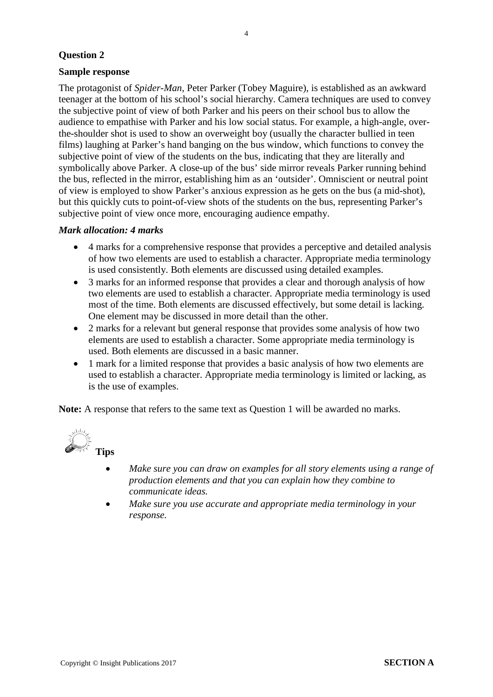# **Sample response**

The protagonist of *Spider-Man*, Peter Parker (Tobey Maguire), is established as an awkward teenager at the bottom of his school's social hierarchy. Camera techniques are used to convey the subjective point of view of both Parker and his peers on their school bus to allow the audience to empathise with Parker and his low social status. For example, a high-angle, overthe-shoulder shot is used to show an overweight boy (usually the character bullied in teen films) laughing at Parker's hand banging on the bus window, which functions to convey the subjective point of view of the students on the bus, indicating that they are literally and symbolically above Parker. A close-up of the bus' side mirror reveals Parker running behind the bus, reflected in the mirror, establishing him as an 'outsider'. Omniscient or neutral point of view is employed to show Parker's anxious expression as he gets on the bus (a mid-shot), but this quickly cuts to point-of-view shots of the students on the bus, representing Parker's subjective point of view once more, encouraging audience empathy.

#### *Mark allocation: 4 marks*

- 4 marks for a comprehensive response that provides a perceptive and detailed analysis of how two elements are used to establish a character. Appropriate media terminology is used consistently. Both elements are discussed using detailed examples.
- 3 marks for an informed response that provides a clear and thorough analysis of how two elements are used to establish a character. Appropriate media terminology is used most of the time. Both elements are discussed effectively, but some detail is lacking. One element may be discussed in more detail than the other.
- 2 marks for a relevant but general response that provides some analysis of how two elements are used to establish a character. Some appropriate media terminology is used. Both elements are discussed in a basic manner.
- 1 mark for a limited response that provides a basic analysis of how two elements are used to establish a character. Appropriate media terminology is limited or lacking, as is the use of examples.

**Note:** A response that refers to the same text as Question 1 will be awarded no marks.



- *Make sure you can draw on examples for all story elements using a range of production elements and that you can explain how they combine to communicate ideas.*
- *Make sure you use accurate and appropriate media terminology in your response.*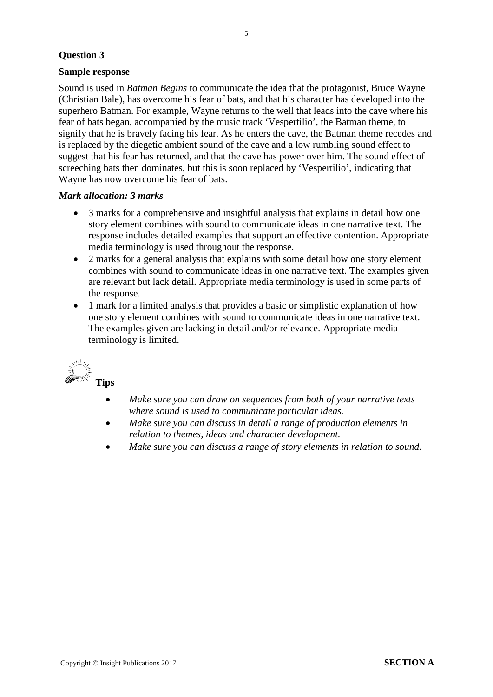# **Sample response**

Sound is used in *Batman Begins* to communicate the idea that the protagonist, Bruce Wayne (Christian Bale), has overcome his fear of bats, and that his character has developed into the superhero Batman. For example, Wayne returns to the well that leads into the cave where his fear of bats began, accompanied by the music track 'Vespertilio', the Batman theme, to signify that he is bravely facing his fear. As he enters the cave, the Batman theme recedes and is replaced by the diegetic ambient sound of the cave and a low rumbling sound effect to suggest that his fear has returned, and that the cave has power over him. The sound effect of screeching bats then dominates, but this is soon replaced by 'Vespertilio', indicating that Wayne has now overcome his fear of bats.

#### *Mark allocation: 3 marks*

- 3 marks for a comprehensive and insightful analysis that explains in detail how one story element combines with sound to communicate ideas in one narrative text. The response includes detailed examples that support an effective contention. Appropriate media terminology is used throughout the response.
- 2 marks for a general analysis that explains with some detail how one story element combines with sound to communicate ideas in one narrative text. The examples given are relevant but lack detail. Appropriate media terminology is used in some parts of the response.
- 1 mark for a limited analysis that provides a basic or simplistic explanation of how one story element combines with sound to communicate ideas in one narrative text. The examples given are lacking in detail and/or relevance. Appropriate media terminology is limited.



- *Make sure you can draw on sequences from both of your narrative texts where sound is used to communicate particular ideas.*
- *Make sure you can discuss in detail a range of production elements in relation to themes, ideas and character development.*
- *Make sure you can discuss a range of story elements in relation to sound.*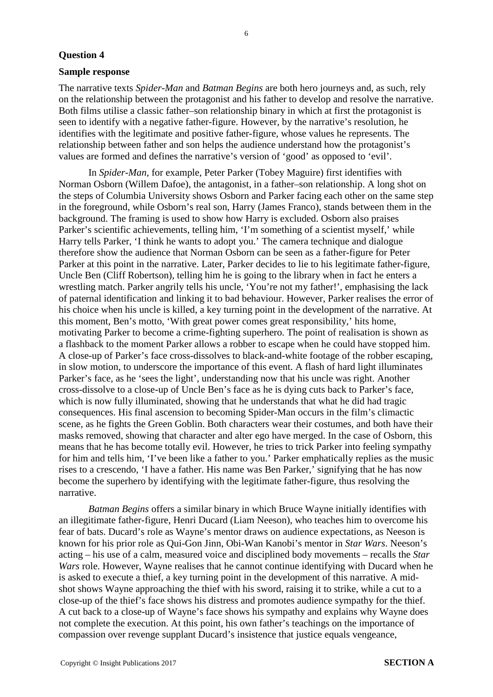#### **Sample response**

The narrative texts *Spider-Man* and *Batman Begins* are both hero journeys and, as such, rely on the relationship between the protagonist and his father to develop and resolve the narrative. Both films utilise a classic father–son relationship binary in which at first the protagonist is seen to identify with a negative father-figure. However, by the narrative's resolution, he identifies with the legitimate and positive father-figure, whose values he represents. The relationship between father and son helps the audience understand how the protagonist's values are formed and defines the narrative's version of 'good' as opposed to 'evil'.

In *Spider-Man*, for example, Peter Parker (Tobey Maguire) first identifies with Norman Osborn (Willem Dafoe), the antagonist, in a father–son relationship. A long shot on the steps of Columbia University shows Osborn and Parker facing each other on the same step in the foreground, while Osborn's real son, Harry (James Franco), stands between them in the background. The framing is used to show how Harry is excluded. Osborn also praises Parker's scientific achievements, telling him, 'I'm something of a scientist myself,' while Harry tells Parker, 'I think he wants to adopt you.' The camera technique and dialogue therefore show the audience that Norman Osborn can be seen as a father-figure for Peter Parker at this point in the narrative. Later, Parker decides to lie to his legitimate father-figure, Uncle Ben (Cliff Robertson), telling him he is going to the library when in fact he enters a wrestling match. Parker angrily tells his uncle, 'You're not my father!', emphasising the lack of paternal identification and linking it to bad behaviour. However, Parker realises the error of his choice when his uncle is killed, a key turning point in the development of the narrative. At this moment, Ben's motto, 'With great power comes great responsibility,' hits home, motivating Parker to become a crime-fighting superhero. The point of realisation is shown as a flashback to the moment Parker allows a robber to escape when he could have stopped him. A close-up of Parker's face cross-dissolves to black-and-white footage of the robber escaping, in slow motion, to underscore the importance of this event. A flash of hard light illuminates Parker's face, as he 'sees the light', understanding now that his uncle was right. Another cross-dissolve to a close-up of Uncle Ben's face as he is dying cuts back to Parker's face, which is now fully illuminated, showing that he understands that what he did had tragic consequences. His final ascension to becoming Spider-Man occurs in the film's climactic scene, as he fights the Green Goblin. Both characters wear their costumes, and both have their masks removed, showing that character and alter ego have merged. In the case of Osborn, this means that he has become totally evil. However, he tries to trick Parker into feeling sympathy for him and tells him, 'I've been like a father to you.' Parker emphatically replies as the music rises to a crescendo, 'I have a father. His name was Ben Parker,' signifying that he has now become the superhero by identifying with the legitimate father-figure, thus resolving the narrative.

*Batman Begins* offers a similar binary in which Bruce Wayne initially identifies with an illegitimate father-figure, Henri Ducard (Liam Neeson), who teaches him to overcome his fear of bats. Ducard's role as Wayne's mentor draws on audience expectations, as Neeson is known for his prior role as Qui-Gon Jinn, Obi-Wan Kanobi's mentor in *Star Wars*. Neeson's acting – his use of a calm, measured voice and disciplined body movements – recalls the *Star Wars* role. However, Wayne realises that he cannot continue identifying with Ducard when he is asked to execute a thief, a key turning point in the development of this narrative. A midshot shows Wayne approaching the thief with his sword, raising it to strike, while a cut to a close-up of the thief's face shows his distress and promotes audience sympathy for the thief. A cut back to a close-up of Wayne's face shows his sympathy and explains why Wayne does not complete the execution. At this point, his own father's teachings on the importance of compassion over revenge supplant Ducard's insistence that justice equals vengeance,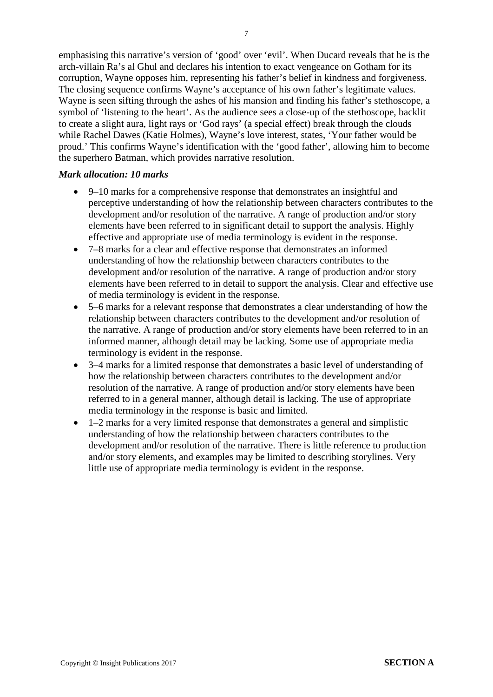emphasising this narrative's version of 'good' over 'evil'. When Ducard reveals that he is the arch-villain Ra's al Ghul and declares his intention to exact vengeance on Gotham for its corruption, Wayne opposes him, representing his father's belief in kindness and forgiveness. The closing sequence confirms Wayne's acceptance of his own father's legitimate values. Wayne is seen sifting through the ashes of his mansion and finding his father's stethoscope, a symbol of 'listening to the heart'. As the audience sees a close-up of the stethoscope, backlit to create a slight aura, light rays or 'God rays' (a special effect) break through the clouds while Rachel Dawes (Katie Holmes), Wayne's love interest, states, 'Your father would be proud.' This confirms Wayne's identification with the 'good father', allowing him to become the superhero Batman, which provides narrative resolution.

#### *Mark allocation: 10 marks*

- 9–10 marks for a comprehensive response that demonstrates an insightful and perceptive understanding of how the relationship between characters contributes to the development and/or resolution of the narrative. A range of production and/or story elements have been referred to in significant detail to support the analysis. Highly effective and appropriate use of media terminology is evident in the response.
- 7–8 marks for a clear and effective response that demonstrates an informed understanding of how the relationship between characters contributes to the development and/or resolution of the narrative. A range of production and/or story elements have been referred to in detail to support the analysis. Clear and effective use of media terminology is evident in the response.
- 5–6 marks for a relevant response that demonstrates a clear understanding of how the relationship between characters contributes to the development and/or resolution of the narrative. A range of production and/or story elements have been referred to in an informed manner, although detail may be lacking. Some use of appropriate media terminology is evident in the response.
- 3–4 marks for a limited response that demonstrates a basic level of understanding of how the relationship between characters contributes to the development and/or resolution of the narrative. A range of production and/or story elements have been referred to in a general manner, although detail is lacking. The use of appropriate media terminology in the response is basic and limited.
- 1–2 marks for a very limited response that demonstrates a general and simplistic understanding of how the relationship between characters contributes to the development and/or resolution of the narrative. There is little reference to production and/or story elements, and examples may be limited to describing storylines. Very little use of appropriate media terminology is evident in the response.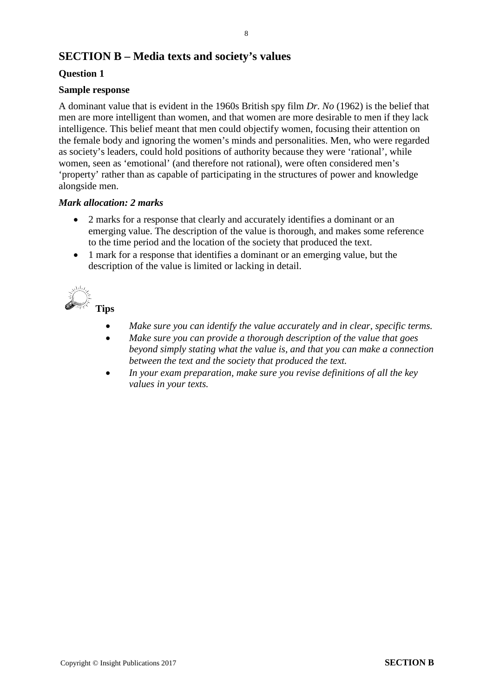# **SECTION B – Media texts and society's values**

# **Question 1**

# **Sample response**

A dominant value that is evident in the 1960s British spy film *Dr. No* (1962) is the belief that men are more intelligent than women, and that women are more desirable to men if they lack intelligence. This belief meant that men could objectify women, focusing their attention on the female body and ignoring the women's minds and personalities. Men, who were regarded as society's leaders, could hold positions of authority because they were 'rational', while women, seen as 'emotional' (and therefore not rational), were often considered men's 'property' rather than as capable of participating in the structures of power and knowledge alongside men.

# *Mark allocation: 2 marks*

- 2 marks for a response that clearly and accurately identifies a dominant or an emerging value. The description of the value is thorough, and makes some reference to the time period and the location of the society that produced the text.
- 1 mark for a response that identifies a dominant or an emerging value, but the description of the value is limited or lacking in detail.



- *Make sure you can identify the value accurately and in clear, specific terms.*
- *Make sure you can provide a thorough description of the value that goes beyond simply stating what the value is, and that you can make a connection between the text and the society that produced the text.*
- *In your exam preparation, make sure you revise definitions of all the key values in your texts.*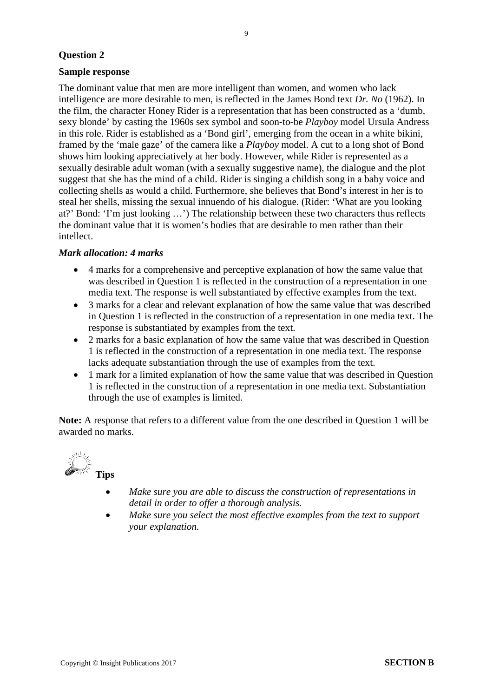# **Sample response**

The dominant value that men are more intelligent than women, and women who lack intelligence are more desirable to men, is reflected in the James Bond text *Dr. No* (1962). In the film, the character Honey Rider is a representation that has been constructed as a 'dumb, sexy blonde' by casting the 1960s sex symbol and soon-to-be *Playboy* model Ursula Andress in this role. Rider is established as a 'Bond girl', emerging from the ocean in a white bikini, framed by the 'male gaze' of the camera like a *Playboy* model. A cut to a long shot of Bond shows him looking appreciatively at her body. However, while Rider is represented as a sexually desirable adult woman (with a sexually suggestive name), the dialogue and the plot suggest that she has the mind of a child. Rider is singing a childish song in a baby voice and collecting shells as would a child. Furthermore, she believes that Bond's interest in her is to steal her shells, missing the sexual innuendo of his dialogue. (Rider: 'What are you looking at?' Bond: 'I'm just looking …') The relationship between these two characters thus reflects the dominant value that it is women's bodies that are desirable to men rather than their intellect.

# *Mark allocation: 4 marks*

- 4 marks for a comprehensive and perceptive explanation of how the same value that was described in Question 1 is reflected in the construction of a representation in one media text. The response is well substantiated by effective examples from the text.
- 3 marks for a clear and relevant explanation of how the same value that was described in Question 1 is reflected in the construction of a representation in one media text. The response is substantiated by examples from the text.
- 2 marks for a basic explanation of how the same value that was described in Question 1 is reflected in the construction of a representation in one media text. The response lacks adequate substantiation through the use of examples from the text.
- 1 mark for a limited explanation of how the same value that was described in Question 1 is reflected in the construction of a representation in one media text. Substantiation through the use of examples is limited.

**Note:** A response that refers to a different value from the one described in Question 1 will be awarded no marks.



- *Make sure you are able to discuss the construction of representations in detail in order to offer a thorough analysis.*
- *Make sure you select the most effective examples from the text to support your explanation.*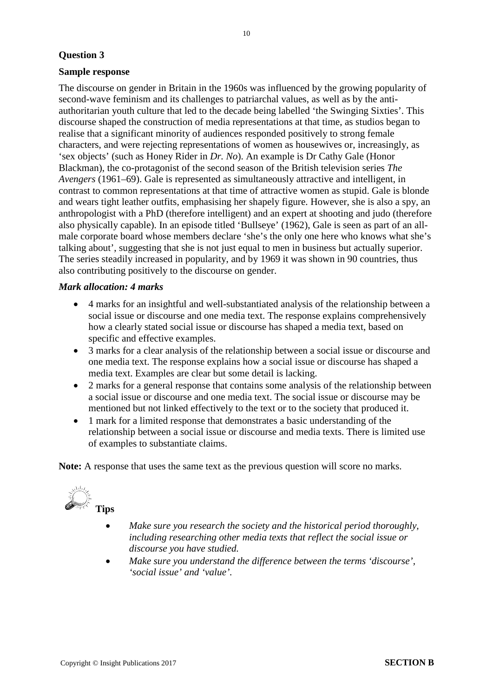#### **Sample response**

The discourse on gender in Britain in the 1960s was influenced by the growing popularity of second-wave feminism and its challenges to patriarchal values, as well as by the antiauthoritarian youth culture that led to the decade being labelled 'the Swinging Sixties'. This discourse shaped the construction of media representations at that time, as studios began to realise that a significant minority of audiences responded positively to strong female characters, and were rejecting representations of women as housewives or, increasingly, as 'sex objects' (such as Honey Rider in *Dr. No*). An example is Dr Cathy Gale (Honor Blackman), the co-protagonist of the second season of the British television series *The Avengers* (1961–69). Gale is represented as simultaneously attractive and intelligent, in contrast to common representations at that time of attractive women as stupid. Gale is blonde and wears tight leather outfits, emphasising her shapely figure. However, she is also a spy, an anthropologist with a PhD (therefore intelligent) and an expert at shooting and judo (therefore also physically capable). In an episode titled 'Bullseye' (1962), Gale is seen as part of an allmale corporate board whose members declare 'she's the only one here who knows what she's talking about', suggesting that she is not just equal to men in business but actually superior. The series steadily increased in popularity, and by 1969 it was shown in 90 countries, thus also contributing positively to the discourse on gender.

#### *Mark allocation: 4 marks*

- 4 marks for an insightful and well-substantiated analysis of the relationship between a social issue or discourse and one media text. The response explains comprehensively how a clearly stated social issue or discourse has shaped a media text, based on specific and effective examples.
- 3 marks for a clear analysis of the relationship between a social issue or discourse and one media text. The response explains how a social issue or discourse has shaped a media text. Examples are clear but some detail is lacking.
- 2 marks for a general response that contains some analysis of the relationship between a social issue or discourse and one media text. The social issue or discourse may be mentioned but not linked effectively to the text or to the society that produced it.
- 1 mark for a limited response that demonstrates a basic understanding of the relationship between a social issue or discourse and media texts. There is limited use of examples to substantiate claims.

**Note:** A response that uses the same text as the previous question will score no marks.



- *Make sure you research the society and the historical period thoroughly, including researching other media texts that reflect the social issue or discourse you have studied.*
- *Make sure you understand the difference between the terms 'discourse', 'social issue' and 'value'.*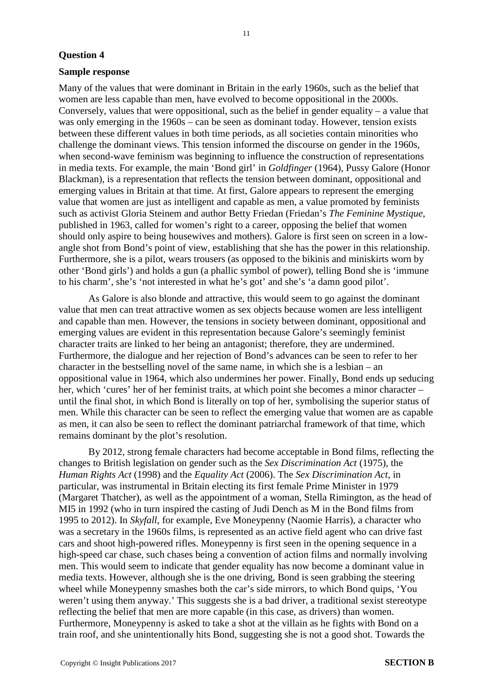#### **Sample response**

Many of the values that were dominant in Britain in the early 1960s, such as the belief that women are less capable than men, have evolved to become oppositional in the 2000s. Conversely, values that were oppositional, such as the belief in gender equality – a value that was only emerging in the 1960s – can be seen as dominant today. However, tension exists between these different values in both time periods, as all societies contain minorities who challenge the dominant views. This tension informed the discourse on gender in the 1960s, when second-wave feminism was beginning to influence the construction of representations in media texts. For example, the main 'Bond girl' in *Goldfinger* (1964), Pussy Galore (Honor Blackman), is a representation that reflects the tension between dominant, oppositional and emerging values in Britain at that time. At first, Galore appears to represent the emerging value that women are just as intelligent and capable as men, a value promoted by feminists such as activist Gloria Steinem and author Betty Friedan (Friedan's *The Feminine Mystique*, published in 1963, called for women's right to a career, opposing the belief that women should only aspire to being housewives and mothers). Galore is first seen on screen in a lowangle shot from Bond's point of view, establishing that she has the power in this relationship. Furthermore, she is a pilot, wears trousers (as opposed to the bikinis and miniskirts worn by other 'Bond girls') and holds a gun (a phallic symbol of power), telling Bond she is 'immune to his charm', she's 'not interested in what he's got' and she's 'a damn good pilot'.

As Galore is also blonde and attractive, this would seem to go against the dominant value that men can treat attractive women as sex objects because women are less intelligent and capable than men. However, the tensions in society between dominant, oppositional and emerging values are evident in this representation because Galore's seemingly feminist character traits are linked to her being an antagonist; therefore, they are undermined. Furthermore, the dialogue and her rejection of Bond's advances can be seen to refer to her character in the bestselling novel of the same name, in which she is a lesbian – an oppositional value in 1964, which also undermines her power. Finally, Bond ends up seducing her, which 'cures' her of her feminist traits, at which point she becomes a minor character – until the final shot, in which Bond is literally on top of her, symbolising the superior status of men. While this character can be seen to reflect the emerging value that women are as capable as men, it can also be seen to reflect the dominant patriarchal framework of that time, which remains dominant by the plot's resolution.

By 2012, strong female characters had become acceptable in Bond films, reflecting the changes to British legislation on gender such as the *Sex Discrimination Act* (1975), the *Human Rights Act* (1998) and the *Equality Act* (2006). The *Sex Discrimination Act*, in particular, was instrumental in Britain electing its first female Prime Minister in 1979 (Margaret Thatcher), as well as the appointment of a woman, Stella Rimington, as the head of MI5 in 1992 (who in turn inspired the casting of Judi Dench as M in the Bond films from 1995 to 2012). In *Skyfall*, for example, Eve Moneypenny (Naomie Harris), a character who was a secretary in the 1960s films, is represented as an active field agent who can drive fast cars and shoot high-powered rifles. Moneypenny is first seen in the opening sequence in a high-speed car chase, such chases being a convention of action films and normally involving men. This would seem to indicate that gender equality has now become a dominant value in media texts. However, although she is the one driving, Bond is seen grabbing the steering wheel while Moneypenny smashes both the car's side mirrors, to which Bond quips, 'You weren't using them anyway.' This suggests she is a bad driver, a traditional sexist stereotype reflecting the belief that men are more capable (in this case, as drivers) than women. Furthermore, Moneypenny is asked to take a shot at the villain as he fights with Bond on a train roof, and she unintentionally hits Bond, suggesting she is not a good shot. Towards the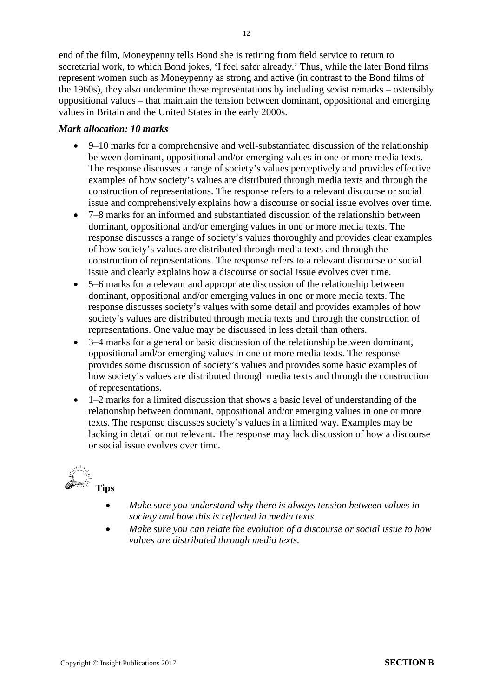end of the film, Moneypenny tells Bond she is retiring from field service to return to secretarial work, to which Bond jokes, 'I feel safer already.' Thus, while the later Bond films represent women such as Moneypenny as strong and active (in contrast to the Bond films of the 1960s), they also undermine these representations by including sexist remarks – ostensibly oppositional values – that maintain the tension between dominant, oppositional and emerging values in Britain and the United States in the early 2000s.

# *Mark allocation: 10 marks*

- 9–10 marks for a comprehensive and well-substantiated discussion of the relationship between dominant, oppositional and/or emerging values in one or more media texts. The response discusses a range of society's values perceptively and provides effective examples of how society's values are distributed through media texts and through the construction of representations. The response refers to a relevant discourse or social issue and comprehensively explains how a discourse or social issue evolves over time.
- 7–8 marks for an informed and substantiated discussion of the relationship between dominant, oppositional and/or emerging values in one or more media texts. The response discusses a range of society's values thoroughly and provides clear examples of how society's values are distributed through media texts and through the construction of representations. The response refers to a relevant discourse or social issue and clearly explains how a discourse or social issue evolves over time.
- 5–6 marks for a relevant and appropriate discussion of the relationship between dominant, oppositional and/or emerging values in one or more media texts. The response discusses society's values with some detail and provides examples of how society's values are distributed through media texts and through the construction of representations. One value may be discussed in less detail than others.
- 3–4 marks for a general or basic discussion of the relationship between dominant, oppositional and/or emerging values in one or more media texts. The response provides some discussion of society's values and provides some basic examples of how society's values are distributed through media texts and through the construction of representations.
- 1–2 marks for a limited discussion that shows a basic level of understanding of the relationship between dominant, oppositional and/or emerging values in one or more texts. The response discusses society's values in a limited way. Examples may be lacking in detail or not relevant. The response may lack discussion of how a discourse or social issue evolves over time.



- *Make sure you understand why there is always tension between values in society and how this is reflected in media texts.*
- *Make sure you can relate the evolution of a discourse or social issue to how values are distributed through media texts.*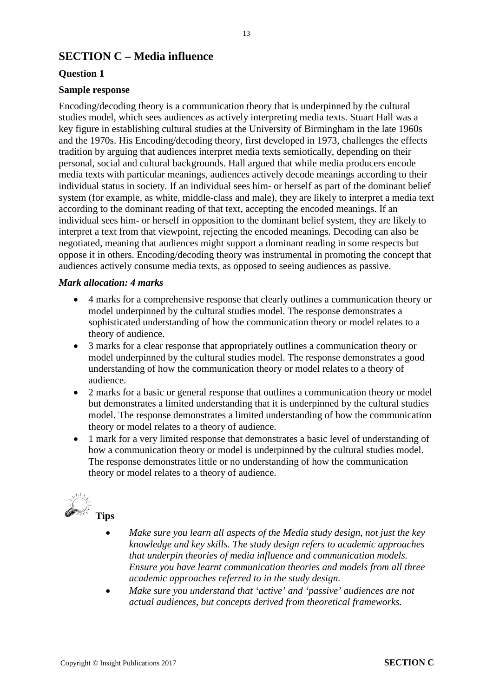# **SECTION C – Media influence**

# **Question 1**

# **Sample response**

Encoding/decoding theory is a communication theory that is underpinned by the cultural studies model, which sees audiences as actively interpreting media texts. Stuart Hall was a key figure in establishing cultural studies at the University of Birmingham in the late 1960s and the 1970s. His Encoding/decoding theory, first developed in 1973, challenges the effects tradition by arguing that audiences interpret media texts semiotically, depending on their personal, social and cultural backgrounds. Hall argued that while media producers encode media texts with particular meanings, audiences actively decode meanings according to their individual status in society. If an individual sees him- or herself as part of the dominant belief system (for example, as white, middle-class and male), they are likely to interpret a media text according to the dominant reading of that text, accepting the encoded meanings. If an individual sees him- or herself in opposition to the dominant belief system, they are likely to interpret a text from that viewpoint, rejecting the encoded meanings. Decoding can also be negotiated, meaning that audiences might support a dominant reading in some respects but oppose it in others. Encoding/decoding theory was instrumental in promoting the concept that audiences actively consume media texts, as opposed to seeing audiences as passive.

#### *Mark allocation: 4 marks*

- 4 marks for a comprehensive response that clearly outlines a communication theory or model underpinned by the cultural studies model. The response demonstrates a sophisticated understanding of how the communication theory or model relates to a theory of audience.
- 3 marks for a clear response that appropriately outlines a communication theory or model underpinned by the cultural studies model. The response demonstrates a good understanding of how the communication theory or model relates to a theory of audience.
- 2 marks for a basic or general response that outlines a communication theory or model but demonstrates a limited understanding that it is underpinned by the cultural studies model. The response demonstrates a limited understanding of how the communication theory or model relates to a theory of audience.
- 1 mark for a very limited response that demonstrates a basic level of understanding of how a communication theory or model is underpinned by the cultural studies model. The response demonstrates little or no understanding of how the communication theory or model relates to a theory of audience.



- *Make sure you learn all aspects of the Media study design, not just the key knowledge and key skills. The study design refers to academic approaches that underpin theories of media influence and communication models. Ensure you have learnt communication theories and models from all three academic approaches referred to in the study design.*
- *Make sure you understand that 'active' and 'passive' audiences are not actual audiences, but concepts derived from theoretical frameworks.*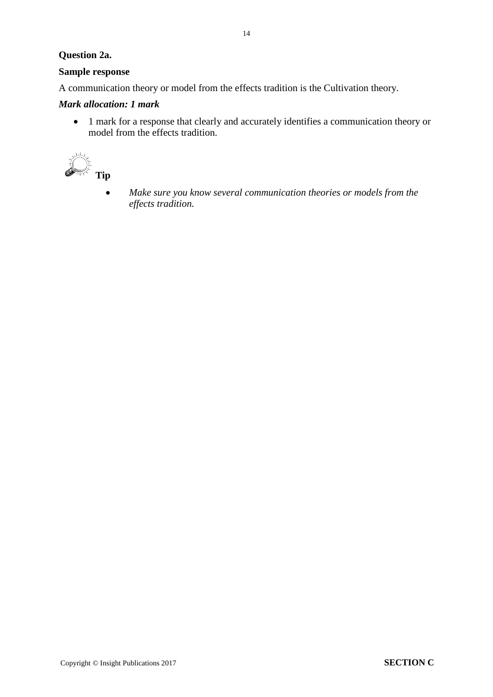# **Question 2a.**

# **Sample response**

A communication theory or model from the effects tradition is the Cultivation theory.

# *Mark allocation: 1 mark*

• 1 mark for a response that clearly and accurately identifies a communication theory or model from the effects tradition.



• *Make sure you know several communication theories or models from the effects tradition.*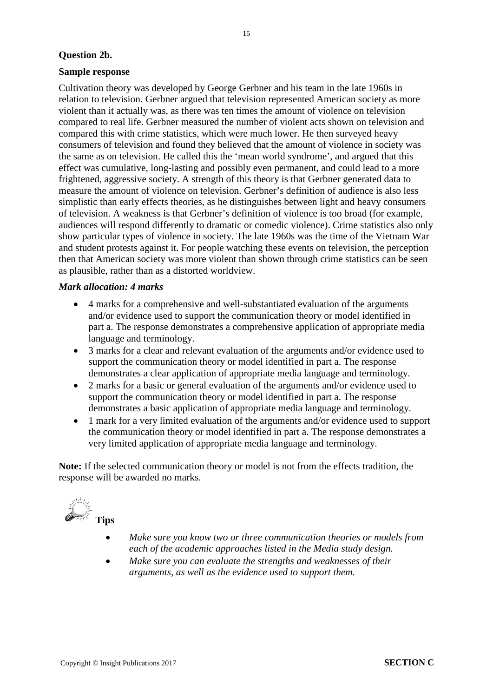## **Question 2b.**

#### **Sample response**

Cultivation theory was developed by George Gerbner and his team in the late 1960s in relation to television. Gerbner argued that television represented American society as more violent than it actually was, as there was ten times the amount of violence on television compared to real life. Gerbner measured the number of violent acts shown on television and compared this with crime statistics, which were much lower. He then surveyed heavy consumers of television and found they believed that the amount of violence in society was the same as on television. He called this the 'mean world syndrome', and argued that this effect was cumulative, long-lasting and possibly even permanent, and could lead to a more frightened, aggressive society. A strength of this theory is that Gerbner generated data to measure the amount of violence on television. Gerbner's definition of audience is also less simplistic than early effects theories, as he distinguishes between light and heavy consumers of television. A weakness is that Gerbner's definition of violence is too broad (for example, audiences will respond differently to dramatic or comedic violence). Crime statistics also only show particular types of violence in society. The late 1960s was the time of the Vietnam War and student protests against it. For people watching these events on television, the perception then that American society was more violent than shown through crime statistics can be seen as plausible, rather than as a distorted worldview.

## *Mark allocation: 4 marks*

- 4 marks for a comprehensive and well-substantiated evaluation of the arguments and/or evidence used to support the communication theory or model identified in part a. The response demonstrates a comprehensive application of appropriate media language and terminology.
- 3 marks for a clear and relevant evaluation of the arguments and/or evidence used to support the communication theory or model identified in part a. The response demonstrates a clear application of appropriate media language and terminology.
- 2 marks for a basic or general evaluation of the arguments and/or evidence used to support the communication theory or model identified in part a. The response demonstrates a basic application of appropriate media language and terminology.
- 1 mark for a very limited evaluation of the arguments and/or evidence used to support the communication theory or model identified in part a. The response demonstrates a very limited application of appropriate media language and terminology.

**Note:** If the selected communication theory or model is not from the effects tradition, the response will be awarded no marks.



- *Make sure you know two or three communication theories or models from each of the academic approaches listed in the Media study design.*
- *Make sure you can evaluate the strengths and weaknesses of their arguments, as well as the evidence used to support them.*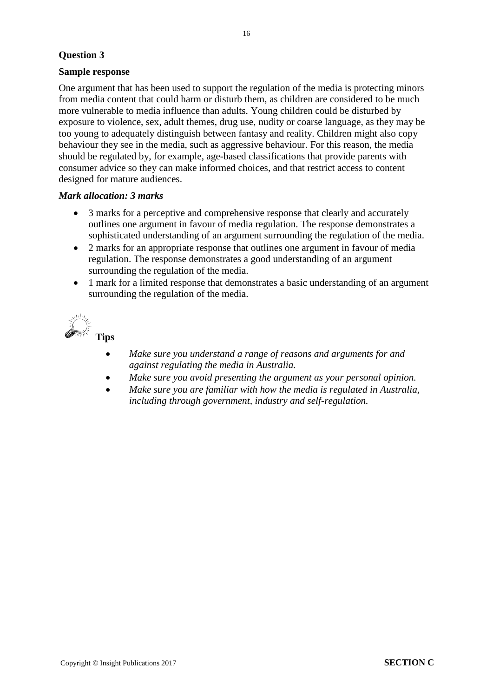# **Sample response**

One argument that has been used to support the regulation of the media is protecting minors from media content that could harm or disturb them, as children are considered to be much more vulnerable to media influence than adults. Young children could be disturbed by exposure to violence, sex, adult themes, drug use, nudity or coarse language, as they may be too young to adequately distinguish between fantasy and reality. Children might also copy behaviour they see in the media, such as aggressive behaviour. For this reason, the media should be regulated by, for example, age-based classifications that provide parents with consumer advice so they can make informed choices, and that restrict access to content designed for mature audiences.

#### *Mark allocation: 3 marks*

- 3 marks for a perceptive and comprehensive response that clearly and accurately outlines one argument in favour of media regulation. The response demonstrates a sophisticated understanding of an argument surrounding the regulation of the media.
- 2 marks for an appropriate response that outlines one argument in favour of media regulation. The response demonstrates a good understanding of an argument surrounding the regulation of the media.
- 1 mark for a limited response that demonstrates a basic understanding of an argument surrounding the regulation of the media.



- *Make sure you understand a range of reasons and arguments for and against regulating the media in Australia.*
- *Make sure you avoid presenting the argument as your personal opinion.*
- *Make sure you are familiar with how the media is regulated in Australia, including through government, industry and self-regulation.*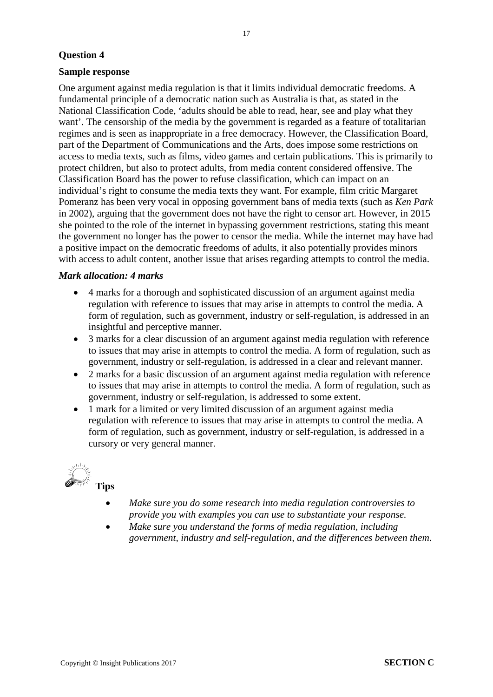#### **Sample response**

One argument against media regulation is that it limits individual democratic freedoms. A fundamental principle of a democratic nation such as Australia is that, as stated in the National Classification Code, 'adults should be able to read, hear, see and play what they want'. The censorship of the media by the government is regarded as a feature of totalitarian regimes and is seen as inappropriate in a free democracy. However, the Classification Board, part of the Department of Communications and the Arts, does impose some restrictions on access to media texts, such as films, video games and certain publications. This is primarily to protect children, but also to protect adults, from media content considered offensive. The Classification Board has the power to refuse classification, which can impact on an individual's right to consume the media texts they want. For example, film critic Margaret Pomeranz has been very vocal in opposing government bans of media texts (such as *Ken Park* in 2002), arguing that the government does not have the right to censor art. However, in 2015 she pointed to the role of the internet in bypassing government restrictions, stating this meant the government no longer has the power to censor the media. While the internet may have had a positive impact on the democratic freedoms of adults, it also potentially provides minors with access to adult content, another issue that arises regarding attempts to control the media.

#### *Mark allocation: 4 marks*

- 4 marks for a thorough and sophisticated discussion of an argument against media regulation with reference to issues that may arise in attempts to control the media. A form of regulation, such as government, industry or self-regulation, is addressed in an insightful and perceptive manner.
- 3 marks for a clear discussion of an argument against media regulation with reference to issues that may arise in attempts to control the media. A form of regulation, such as government, industry or self-regulation, is addressed in a clear and relevant manner.
- 2 marks for a basic discussion of an argument against media regulation with reference to issues that may arise in attempts to control the media. A form of regulation, such as government, industry or self-regulation, is addressed to some extent.
- 1 mark for a limited or very limited discussion of an argument against media regulation with reference to issues that may arise in attempts to control the media. A form of regulation, such as government, industry or self-regulation, is addressed in a cursory or very general manner.



- *Make sure you do some research into media regulation controversies to provide you with examples you can use to substantiate your response.*
- *Make sure you understand the forms of media regulation, including government, industry and self-regulation, and the differences between them*.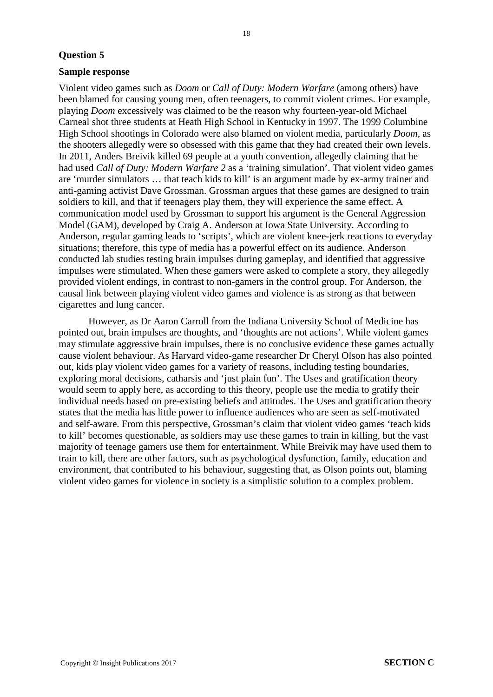#### **Sample response**

Violent video games such as *Doom* or *Call of Duty: Modern Warfare* (among others) have been blamed for causing young men, often teenagers, to commit violent crimes. For example, playing *Doom* excessively was claimed to be the reason why fourteen-year-old Michael Carneal shot three students at Heath High School in Kentucky in 1997. The 1999 Columbine High School shootings in Colorado were also blamed on violent media, particularly *Doom*, as the shooters allegedly were so obsessed with this game that they had created their own levels. In 2011, Anders Breivik killed 69 people at a youth convention, allegedly claiming that he had used *Call of Duty: Modern Warfare 2* as a 'training simulation'. That violent video games are 'murder simulators … that teach kids to kill' is an argument made by ex-army trainer and anti-gaming activist Dave Grossman. Grossman argues that these games are designed to train soldiers to kill, and that if teenagers play them, they will experience the same effect. A communication model used by Grossman to support his argument is the General Aggression Model (GAM), developed by Craig A. Anderson at Iowa State University. According to Anderson, regular gaming leads to 'scripts', which are violent knee-jerk reactions to everyday situations; therefore, this type of media has a powerful effect on its audience. Anderson conducted lab studies testing brain impulses during gameplay, and identified that aggressive impulses were stimulated. When these gamers were asked to complete a story, they allegedly provided violent endings, in contrast to non-gamers in the control group. For Anderson, the causal link between playing violent video games and violence is as strong as that between cigarettes and lung cancer.

However, as Dr Aaron Carroll from the Indiana University School of Medicine has pointed out, brain impulses are thoughts, and 'thoughts are not actions'. While violent games may stimulate aggressive brain impulses, there is no conclusive evidence these games actually cause violent behaviour. As Harvard video-game researcher Dr Cheryl Olson has also pointed out, kids play violent video games for a variety of reasons, including testing boundaries, exploring moral decisions, catharsis and 'just plain fun'. The Uses and gratification theory would seem to apply here, as according to this theory, people use the media to gratify their individual needs based on pre-existing beliefs and attitudes. The Uses and gratification theory states that the media has little power to influence audiences who are seen as self-motivated and self-aware. From this perspective, Grossman's claim that violent video games 'teach kids to kill' becomes questionable, as soldiers may use these games to train in killing, but the vast majority of teenage gamers use them for entertainment. While Breivik may have used them to train to kill, there are other factors, such as psychological dysfunction, family, education and environment, that contributed to his behaviour, suggesting that, as Olson points out, blaming violent video games for violence in society is a simplistic solution to a complex problem.